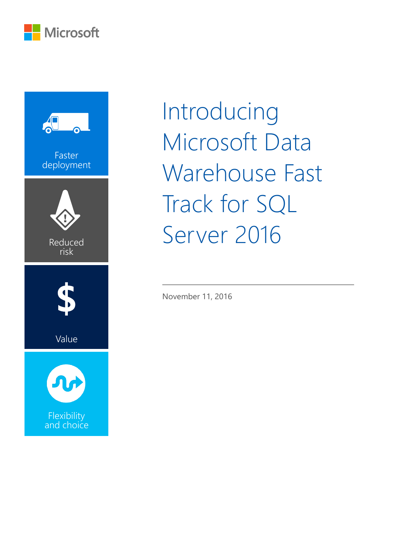



Introducing Microsoft Data Warehouse Fast Track for SQL Server 2016

November 11, 2016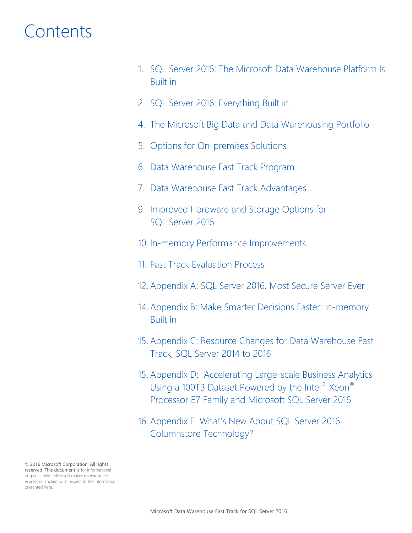# **Contents**

- 1. [SQL Server 2016: The Microsoft Data Warehouse Platform Is](#page-2-0)  [Built in](#page-2-0)
- 2. SQL [Server 2016: Everything Built in](#page-3-0)
- 4. [The Microsoft Big Data and Data Warehousing Portfolio](#page-5-0)
- 5. [Options for On-premises Solutions](#page-6-0)
- 6. [Data Warehouse Fast Track Program](#page-7-0)
- 7. [Data Warehouse Fast Track Advantages](#page-8-0)
- 9. [Improved Hardware and Storage Options for](#page-10-0)  [SQL Server 2016](#page-10-0)
- 10. [In-memory Performance Improvements](#page-11-0)
- 11. [Fast Track Evaluation Process](#page-12-0)
- 12. [Appendix A: SQL Server 2016, Most Secure Server Ever](#page-13-0)
- 14. [Appendix B: Make Smarter Decisions Faster: In-memory](#page-15-0)  [Built in](#page-15-0)
- 15. [Appendix C: Resource Changes for Data Warehouse Fast](#page-16-0)  [Track, SQL Server 2014 to 2016](#page-16-0)
- 15. [Appendix D: Accelerating Large-scale Business Analytics](#page-16-0)  [Using a 100TB Dataset Powered by](#page-16-0) the Intel® Xeon® [Processor E7 Family and Microsoft SQL Server 2016](#page-16-0)
- 16. Appendix E: What's New A[bout SQL Server 2016](#page-17-0)  [Columnstore Technology?](#page-17-0)

© 2016 Microsoft Corporation. All rights reserved. This document is for informational purposes only. Microsoft makes no warranties express or implied, with respect to the information presented here.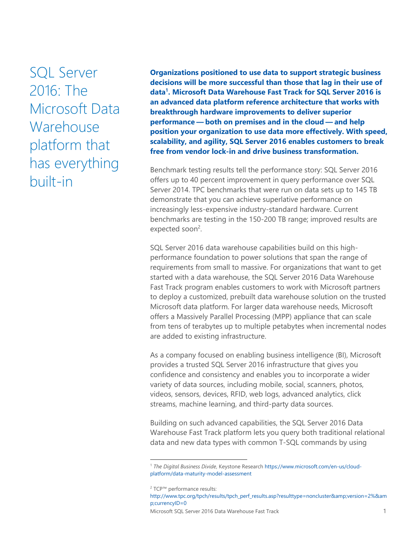<span id="page-2-0"></span>SQL Server 2016: The Microsoft Data Warehouse platform that has everything built-in

**Organizations positioned to use data to support strategic business decisions will be more successful than those that lag in their use of data<sup>1</sup> . Microsoft Data Warehouse Fast Track for SQL Server 2016 is an advanced data platform reference architecture that works with breakthrough hardware improvements to deliver superior performance — both on premises and in the cloud — and help position your organization to use data more effectively. With speed, scalability, and agility, SQL Server 2016 enables customers to break free from vendor lock-in and drive business transformation.**

Benchmark testing results tell the performance story: SQL Server 2016 offers up to 40 percent improvement in query performance over SQL Server 2014. TPC benchmarks that were run on data sets up to 145 TB demonstrate that you can achieve superlative performance on increasingly less-expensive industry-standard hardware. Current benchmarks are testing in the 150-200 TB range; improved results are expected soon<sup>2</sup>.

SQL Server 2016 data warehouse capabilities build on this highperformance foundation to power solutions that span the range of requirements from small to massive. For organizations that want to get started with a data warehouse, the SQL Server 2016 Data Warehouse Fast Track program enables customers to work with Microsoft partners to deploy a customized, prebuilt data warehouse solution on the trusted Microsoft data platform. For larger data warehouse needs, Microsoft offers a Massively Parallel Processing (MPP) appliance that can scale from tens of terabytes up to multiple petabytes when incremental nodes are added to existing infrastructure.

As a company focused on enabling business intelligence (BI), Microsoft provides a trusted SQL Server 2016 infrastructure that gives you confidence and consistency and enables you to incorporate a wider variety of data sources, including mobile, social, scanners, photos, videos, sensors, devices, RFID, web logs, advanced analytics, click streams, machine learning, and third-party data sources.

Building on such advanced capabilities, the SQL Server 2016 Data Warehouse Fast Track platform lets you query both traditional relational data and new data types with common T-SQL commands by using

 $\overline{a}$ 

Microsoft SQL Server 2016 Data Warehouse Fast Track 1

<sup>1</sup> *The Digital Business Divide*, Keystone Researc[h https://www.microsoft.com/en-us/cloud](https://www.microsoft.com/en-us/cloud-platform/data-maturity-model-assessment)[platform/data-maturity-model-assessment](https://www.microsoft.com/en-us/cloud-platform/data-maturity-model-assessment)

<sup>2</sup> TCP™ performance results:

[http://www.tpc.org/tpch/results/tpch\\_perf\\_results.asp?resulttype=noncluster&version=2%&am](http://www.tpc.org/tpch/results/tpch_perf_results.asp?resulttype=noncluster&version=2%25&currencyID=0) [p;currencyID=0](http://www.tpc.org/tpch/results/tpch_perf_results.asp?resulttype=noncluster&version=2%25&currencyID=0)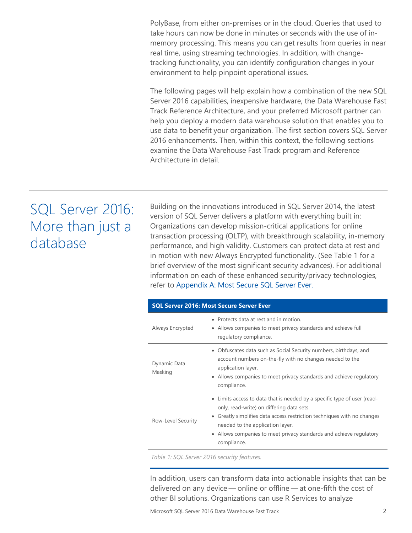PolyBase, from either on-premises or in the cloud. Queries that used to take hours can now be done in minutes or seconds with the use of inmemory processing. This means you can get results from queries in near real time, using streaming technologies. In addition, with changetracking functionality, you can identify configuration changes in your environment to help pinpoint operational issues.

The following pages will help explain how a combination of the new SQL Server 2016 capabilities, inexpensive hardware, the Data Warehouse Fast Track Reference Architecture, and your preferred Microsoft partner can help you deploy a modern data warehouse solution that enables you to use data to benefit your organization. The first section covers SQL Server 2016 enhancements. Then, within this context, the following sections examine the Data Warehouse Fast Track program and Reference Architecture in detail.

## <span id="page-3-0"></span>SQL Server 2016: More than just a database

Building on the innovations introduced in SQL Server 2014, the latest version of SQL Server delivers a platform with everything built in: Organizations can develop mission-critical applications for online transaction processing (OLTP), with breakthrough scalability, in-memory performance, and high validity. Customers can protect data at rest and in motion with new Always Encrypted functionality. (See Table 1 for a brief overview of the most significant security advances). For additional information on each of these enhanced security/privacy technologies, refer to [Appendix A: Most Secure SQL Server Ever.](#page-13-0)

| <b>SQL Server 2016: Most Secure Server Ever</b> |                                                                                                                                                                                                                                                                                                                                       |  |  |  |
|-------------------------------------------------|---------------------------------------------------------------------------------------------------------------------------------------------------------------------------------------------------------------------------------------------------------------------------------------------------------------------------------------|--|--|--|
| Always Encrypted                                | • Protects data at rest and in motion.<br>• Allows companies to meet privacy standards and achieve full<br>regulatory compliance.                                                                                                                                                                                                     |  |  |  |
| Dynamic Data<br>Masking                         | • Obfuscates data such as Social Security numbers, birthdays, and<br>account numbers on-the-fly with no changes needed to the<br>application layer.<br>• Allows companies to meet privacy standards and achieve regulatory<br>compliance.                                                                                             |  |  |  |
| Row-Level Security                              | • Limits access to data that is needed by a specific type of user (read-<br>only, read-write) on differing data sets.<br>Greatly simplifies data access restriction techniques with no changes<br>$\bullet$<br>needed to the application layer.<br>• Allows companies to meet privacy standards and achieve regulatory<br>compliance. |  |  |  |

*Table 1: SQL Server 2016 security features.*

In addition, users can transform data into actionable insights that can be delivered on any device — online or offline — at one-fifth the cost of other BI solutions. Organizations can use R Services to analyze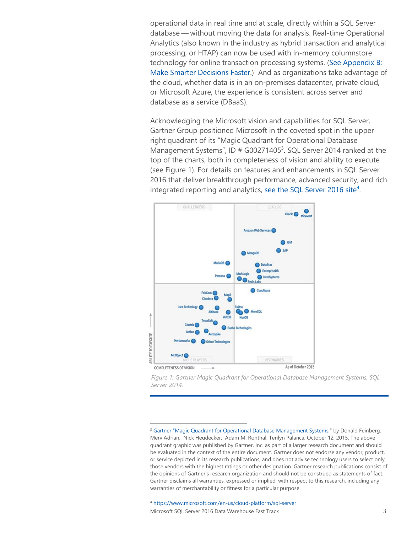operational data in real time and at scale, directly within a SQL Server database — without moving the data for analysis. Real-time Operational Analytics (also known in the industry as hybrid transaction and analytical processing, or HTAP) can now be used with in-memory columnstore technology for online transaction processing systems. [\(See Appendix B:](#page-15-0)  [Make Smarter Decisions Faster.](#page-15-0)) And as organizations take advantage of the cloud, whether data is in an on-premises datacenter, private cloud, or Microsoft Azure, the experience is consistent across server and database as a service (DBaaS).

Acknowledging the Microsoft vision and capabilities for SQL Server, Gartner Group positioned Microsoft in the coveted spot in the upper right quadrant of its "Magic Quadrant for Operational Database Management Systems", ID  $#$  G00271405<sup>3</sup>. SQL Server 2014 ranked at the top of the charts, both in completeness of vision and ability to execute (see Figure 1). For details on features and enhancements in SQL Server 2016 that deliver breakthrough performance, advanced security, and rich integrated reporting and analytics, [see the SQL Server 2016 site](https://www.microsoft.com/en-us/cloud-platform/sql-server)<sup>4</sup>.





<sup>3</sup> [Gartner "Magic Quadrant for Operational Database Manage](http://www.gartner.com/technology/reprints.do?id=1-2PMFPEN&ct=151013&st=sb)ment Systems," by Donald Feinberg, Merv Adrian, Nick Heudecker, Adam M. Ronthal, Terilyn Palanca, October 12, 2015. The above quadrant graphic was published by Gartner, Inc. as part of a larger research document and should be evaluated in the context of the entire document. Gartner does not endorse any vendor, product, or service depicted in its research publications, and does not advise technology users to select only those vendors with the highest ratings or other designation. Gartner research publications consist of the opinions of Gartner's research organization and should not be construed as statements of fact. Gartner disclaims all warranties, expressed or implied, with respect to this research, including any warranties of merchantability or fitness for a particular purpose.

Microsoft SQL Server 2016 Data Warehouse Fast Track 3 <sup>4</sup> <https://www.microsoft.com/en-us/cloud-platform/sql-server>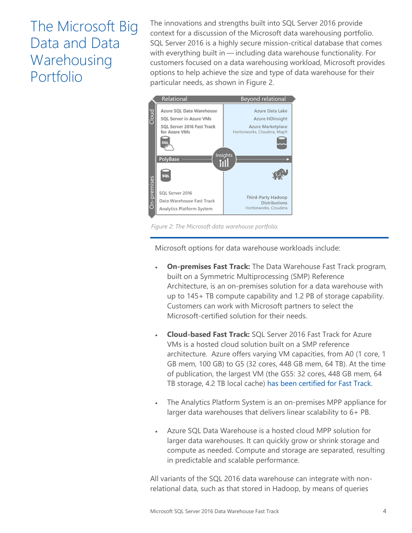# <span id="page-5-0"></span>The Microsoft Big Data and Data Warehousing Portfolio

The innovations and strengths built into SQL Server 2016 provide context for a discussion of the Microsoft data warehousing portfolio. SQL Server 2016 is a highly secure mission-critical database that comes with everything built in — including data warehouse functionality. For customers focused on a data warehousing workload, Microsoft provides options to help achieve the size and type of data warehouse for their particular needs, as shown in Figure 2.



*Figure 2: The Microsoft data warehouse portfolio.*

Microsoft options for data warehouse workloads include:

- **On-premises Fast Track:** The Data Warehouse Fast Track program, built on a Symmetric Multiprocessing (SMP) Reference Architecture, is an on-premises solution for a data warehouse with up to 145+ TB compute capability and 1.2 PB of storage capability. Customers can work with Microsoft partners to select the Microsoft-certified solution for their needs.
- **Cloud-based Fast Track:** SQL Server 2016 Fast Track for Azure VMs is a hosted cloud solution built on a SMP reference architecture. Azure offers varying VM capacities, from A0 (1 core, 1 GB mem, 100 GB) to G5 (32 cores, 448 GB mem, 64 TB). At the time of publication, the largest VM (the GS5: 32 cores, 448 GB mem, 64 TB storage, 4.2 TB local cache) [has been certified for Fast Track.](https://azure.microsoft.com/en-us/blog/sql-server-2016-fastrack-certification/)
- The Analytics Platform System is an on-premises MPP appliance for larger data warehouses that delivers linear scalability to 6+ PB.
- Azure SQL Data Warehouse is a hosted cloud MPP solution for larger data warehouses. It can quickly grow or shrink storage and compute as needed. Compute and storage are separated, resulting in predictable and scalable performance.

All variants of the SQL 2016 data warehouse can integrate with nonrelational data, such as that stored in Hadoop, by means of queries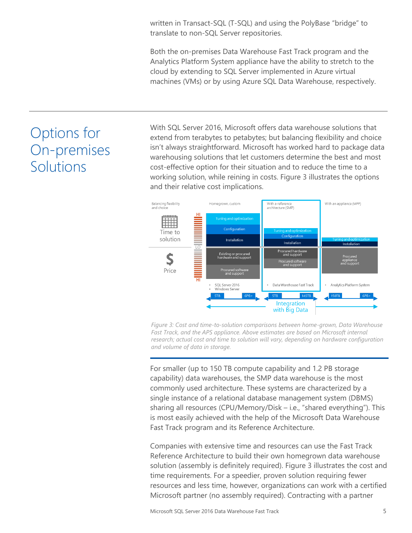written in Transact-SQL (T-SQL) and using the PolyBase "bridge" to translate to non-SQL Server repositories.

Both the on-premises Data Warehouse Fast Track program and the Analytics Platform System appliance have the ability to stretch to the cloud by extending to SQL Server implemented in Azure virtual machines (VMs) or by using Azure SQL Data Warehouse, respectively.

# <span id="page-6-0"></span>Options for On-premises Solutions

With SQL Server 2016, Microsoft offers data warehouse solutions that extend from terabytes to petabytes; but balancing flexibility and choice isn't always straightforward. Microsoft has worked hard to package data warehousing solutions that let customers determine the best and most cost-effective option for their situation and to reduce the time to a working solution, while reining in costs. Figure 3 illustrates the options and their relative cost implications.



*Figure 3: Cost and time-to-solution comparisons between home-grown, Data Warehouse Fast Track, and the APS appliance. Above estimates are based on Microsoft internal research; actual cost and time to solution will vary, depending on hardware configuration and volume of data in storage.*

For smaller (up to 150 TB compute capability and 1.2 PB storage capability) data warehouses, the SMP data warehouse is the most commonly used architecture. These systems are characterized by a single instance of a relational database management system (DBMS) sharing all resources (CPU/Memory/Disk – i.e., "shared everything"). This is most easily achieved with the help of the Microsoft Data Warehouse Fast Track program and its Reference Architecture.

Companies with extensive time and resources can use the Fast Track Reference Architecture to build their own homegrown data warehouse solution (assembly is definitely required). Figure 3 illustrates the cost and time requirements. For a speedier, proven solution requiring fewer resources and less time, however, organizations can work with a certified Microsoft partner (no assembly required). Contracting with a partner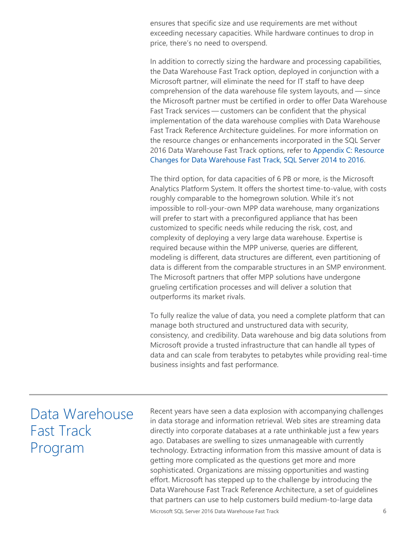ensures that specific size and use requirements are met without exceeding necessary capacities. While hardware continues to drop in price, there's no need to overspend.

In addition to correctly sizing the hardware and processing capabilities, the Data Warehouse Fast Track option, deployed in conjunction with a Microsoft partner, will eliminate the need for IT staff to have deep comprehension of the data warehouse file system layouts, and — since the Microsoft partner must be certified in order to offer Data Warehouse Fast Track services — customers can be confident that the physical implementation of the data warehouse complies with Data Warehouse Fast Track Reference Architecture guidelines. For more information on the resource changes or enhancements incorporated in the SQL Server 2016 Data Warehouse Fast Track options, refer to [Appendix C: Resource](#page-16-0)  [Changes for Data Warehouse Fast Track, SQL Server 2014 to 2016.](#page-16-0)

The third option, for data capacities of 6 PB or more, is the Microsoft Analytics Platform System. It offers the shortest time-to-value, with costs roughly comparable to the homegrown solution. While it's not impossible to roll-your-own MPP data warehouse, many organizations will prefer to start with a preconfigured appliance that has been customized to specific needs while reducing the risk, cost, and complexity of deploying a very large data warehouse. Expertise is required because within the MPP universe, queries are different, modeling is different, data structures are different, even partitioning of data is different from the comparable structures in an SMP environment. The Microsoft partners that offer MPP solutions have undergone grueling certification processes and will deliver a solution that outperforms its market rivals.

To fully realize the value of data, you need a complete platform that can manage both structured and unstructured data with security, consistency, and credibility. Data warehouse and big data solutions from Microsoft provide a trusted infrastructure that can handle all types of data and can scale from terabytes to petabytes while providing real-time business insights and fast performance.

## <span id="page-7-0"></span>Data Warehouse Fast Track Program

Recent years have seen a data explosion with accompanying challenges in data storage and information retrieval. Web sites are streaming data directly into corporate databases at a rate unthinkable just a few years ago. Databases are swelling to sizes unmanageable with currently technology. Extracting information from this massive amount of data is getting more complicated as the questions get more and more sophisticated. Organizations are missing opportunities and wasting effort. Microsoft has stepped up to the challenge by introducing the Data Warehouse Fast Track Reference Architecture, a set of guidelines that partners can use to help customers build medium-to-large data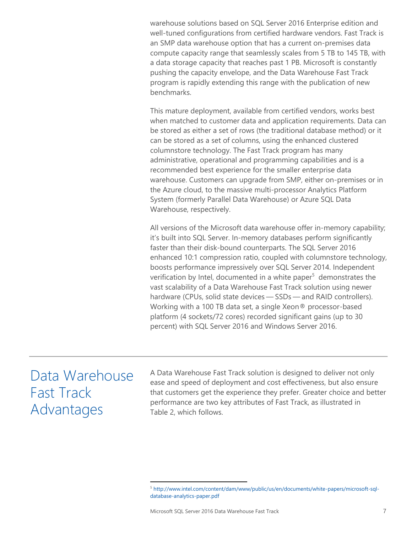warehouse solutions based on SQL Server 2016 Enterprise edition and well-tuned configurations from certified hardware vendors. Fast Track is an SMP data warehouse option that has a current on-premises data compute capacity range that seamlessly scales from 5 TB to 145 TB, with a data storage capacity that reaches past 1 PB. Microsoft is constantly pushing the capacity envelope, and the Data Warehouse Fast Track program is rapidly extending this range with the publication of new benchmarks.

This mature deployment, available from certified vendors, works best when matched to customer data and application requirements. Data can be stored as either a set of rows (the traditional database method) or it can be stored as a set of columns, using the enhanced clustered columnstore technology. The Fast Track program has many administrative, operational and programming capabilities and is a recommended best experience for the smaller enterprise data warehouse. Customers can upgrade from SMP, either on-premises or in the Azure cloud, to the massive multi-processor Analytics Platform System (formerly Parallel Data Warehouse) or Azure SQL Data Warehouse, respectively.

All versions of the Microsoft data warehouse offer in-memory capability; it's built into SQL Server. In-memory databases perform significantly faster than their disk-bound counterparts. The SQL Server 2016 enhanced 10:1 compression ratio, coupled with columnstore technology, boosts performance impressively over SQL Server 2014. Independent verification by Intel, documented in a white paper<sup>5</sup> demonstrates the vast scalability of a Data Warehouse Fast Track solution using newer hardware (CPUs, solid state devices — SSDs — and RAID controllers). Working with a 100 TB data set, a single Xeon® processor-based platform (4 sockets/72 cores) recorded significant gains (up to 30 percent) with SQL Server 2016 and Windows Server 2016.

# <span id="page-8-0"></span>Data Warehouse Fast Track Advantages

A Data Warehouse Fast Track solution is designed to deliver not only ease and speed of deployment and cost effectiveness, but also ensure that customers get the experience they prefer. Greater choice and better performance are two key attributes of Fast Track, as illustrated in Table 2, which follows.

<sup>5</sup> [http://www.intel.com/content/dam/www/public/us/en/documents/white-papers/microsoft-sql](http://www.intel.com/content/dam/www/public/us/en/documents/white-papers/microsoft-sql-database-analytics-paper.pdf)[database-analytics-paper.pdf](http://www.intel.com/content/dam/www/public/us/en/documents/white-papers/microsoft-sql-database-analytics-paper.pdf)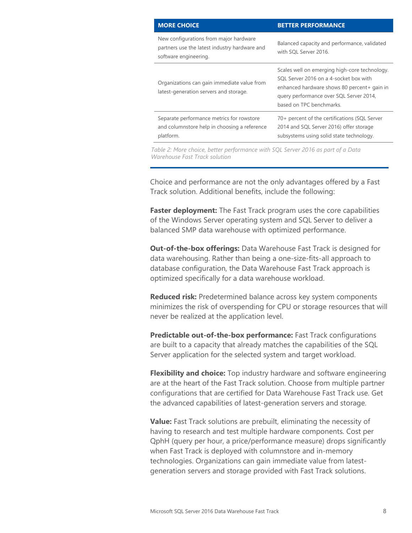| <b>MORE CHOICE</b>                                                                                               | <b>BETTER PERFORMANCE</b>                                                                                                                                                                                    |
|------------------------------------------------------------------------------------------------------------------|--------------------------------------------------------------------------------------------------------------------------------------------------------------------------------------------------------------|
| New configurations from major hardware<br>partners use the latest industry hardware and<br>software engineering. | Balanced capacity and performance, validated<br>with SOL Server 2016.                                                                                                                                        |
| Organizations can gain immediate value from<br>latest-generation servers and storage.                            | Scales well on emerging high-core technology.<br>SOL Server 2016 on a 4-socket box with<br>enhanced hardware shows 80 percent+ gain in<br>query performance over SQL Server 2014,<br>based on TPC benchmarks |
| Separate performance metrics for rowstore<br>and columnstore help in choosing a reference<br>platform.           | 70+ percent of the certifications (SQL Server<br>2014 and SQL Server 2016) offer storage<br>subsystems using solid state technology.                                                                         |

*Table 2: More choice, better performance with SQL Server 2016 as part of a Data Warehouse Fast Track solution*

Choice and performance are not the only advantages offered by a Fast Track solution. Additional benefits, include the following:

**Faster deployment:** The Fast Track program uses the core capabilities of the Windows Server operating system and SQL Server to deliver a balanced SMP data warehouse with optimized performance.

**Out-of-the-box offerings:** Data Warehouse Fast Track is designed for data warehousing. Rather than being a one-size-fits-all approach to database configuration, the Data Warehouse Fast Track approach is optimized specifically for a data warehouse workload.

**Reduced risk:** Predetermined balance across key system components minimizes the risk of overspending for CPU or storage resources that will never be realized at the application level.

**Predictable out-of-the-box performance:** Fast Track configurations are built to a capacity that already matches the capabilities of the SQL Server application for the selected system and target workload.

**Flexibility and choice:** Top industry hardware and software engineering are at the heart of the Fast Track solution. Choose from multiple partner configurations that are certified for Data Warehouse Fast Track use. Get the advanced capabilities of latest-generation servers and storage.

**Value:** Fast Track solutions are prebuilt, eliminating the necessity of having to research and test multiple hardware components. Cost per QphH (query per hour, a price/performance measure) drops significantly when Fast Track is deployed with columnstore and in-memory technologies. Organizations can gain immediate value from latestgeneration servers and storage provided with Fast Track solutions.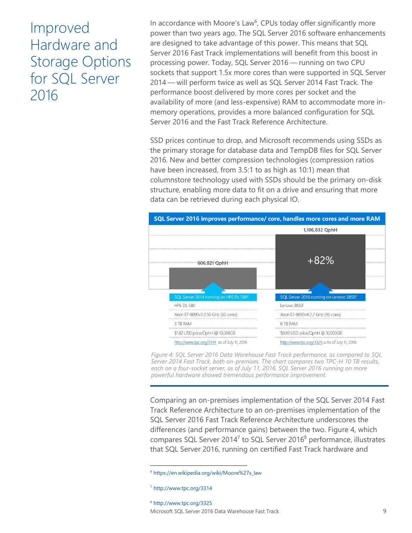# <span id="page-10-0"></span>Improved Hardware and Storage Options for SQL Server 2016

In accordance with Moore's Law<sup>6</sup>, CPUs today offer significantly more power than two years ago. The SQL Server 2016 software enhancements are designed to take advantage of this power. This means that SQL Server 2016 Fast Track implementations will benefit from this boost in processing power. Today, SQL Server 2016 — running on two CPU sockets that support 1.5x more cores than were supported in SQL Server 2014 — will perform twice as well as SQL Server 2014 Fast Track. The performance boost delivered by more cores per socket and the availability of more (and less-expensive) RAM to accommodate more inmemory operations, provides a more balanced configuration for SQL Server 2016 and the Fast Track Reference Architecture.

SSD prices continue to drop, and Microsoft recommends using SSDs as the primary storage for database data and TempDB files for SQL Server 2016. New and better compression technologies (compression ratios have been increased, from 3.5:1 to as high as 10:1) mean that columnstore technology used with SSDs should be the primary on-disk structure, enabling more data to fit on a drive and ensuring that more data can be retrieved during each physical IO.



*Figure 4: SQL Server 2016 Data Warehouse Fast Track performance, as compared to SQL Server 2014 Fast Track, both on-premises. The chart compares two TPC-H 10 TB results,*  each on a four-socket server, as of July 11, 2016. SQL Server 2016 running on more *powerful hardware showed tremendous performance improvement.*

Comparing an on-premises implementation of the SQL Server 2014 Fast Track Reference Architecture to an on-premises implementation of the SQL Server 2016 Fast Track Reference Architecture underscores the differences (and performance gains) between the two. Figure 4, which compares SQL Server 2014<sup>7</sup> to SQL Server 2016<sup>8</sup> performance, illustrates that SQL Server 2016, running on certified Fast Track hardware and

Microsoft SQL Server 2016 Data Warehouse Fast Track 9 <sup>8</sup> [http://www.tpc.org/3325](https://na01.safelinks.protection.outlook.com/?url=http%3A%2F%2Fwww.tpc.org%2F3325&data=01%7C01%7CJamie.Reding%40microsoft.com%7C63effc4b5ba745fab6c808d3f456769a%7C72f988bf86f141af91ab2d7cd011db47%7C1&sdata=iIAzmsU3AyYhwRR7dFb6jdy6ATOFa2uxH1U%2FjTRuYG0%3D&reserved=0)

<sup>6</sup> [https://en.wikipedia.org/wiki/Moore%27s\\_law](https://en.wikipedia.org/wiki/Moore%27s_law)

<sup>7</sup> [http://www.tpc.org/3314](https://na01.safelinks.protection.outlook.com/?url=http%3A%2F%2Fwww.tpc.org%2F3314&data=01%7C01%7CJamie.Reding%40microsoft.com%7C63effc4b5ba745fab6c808d3f456769a%7C72f988bf86f141af91ab2d7cd011db47%7C1&sdata=IVAX87nyLAFVN7uN1GTQfI4cOWyT%2FfwoVlh3%2FbKs%2FZI%3D&reserved=0)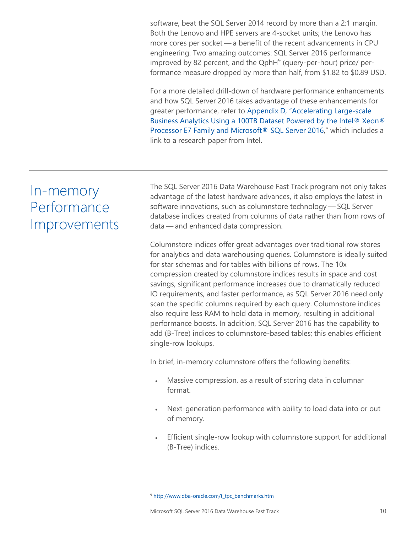software, beat the SQL Server 2014 record by more than a 2:1 margin. Both the Lenovo and HPE servers are 4-socket units; the Lenovo has more cores per socket — a benefit of the recent advancements in CPU engineering. Two amazing outcomes: SQL Server 2016 performance improved by 82 percent, and the QphH<sup>9</sup> (query-per-hour) price/ performance measure dropped by more than half, from \$1.82 to \$0.89 USD.

For a more detailed drill-down of hardware performance enhancements and how SQL Server 2016 takes advantage of these enhancements for greater performance, refer to [Appendix D, "Accelerating L](#page-16-1)arge-scale [Business Analytics Using a 100TB Dataset Powered by the Intel® Xeon®](#page-16-1)  [Processor E7 Family and Microsoft® SQL Server 2016,](#page-16-1)" which includes a link to a research paper from Intel.

## In-memory **Performance** Improvements

<span id="page-11-0"></span>The SQL Server 2016 Data Warehouse Fast Track program not only takes advantage of the latest hardware advances, it also employs the latest in software innovations, such as columnstore technology — SQL Server database indices created from columns of data rather than from rows of data — and enhanced data compression.

Columnstore indices offer great advantages over traditional row stores for analytics and data warehousing queries. Columnstore is ideally suited for star schemas and for tables with billions of rows. The 10x compression created by columnstore indices results in space and cost savings, significant performance increases due to dramatically reduced IO requirements, and faster performance, as SQL Server 2016 need only scan the specific columns required by each query. Columnstore indices also require less RAM to hold data in memory, resulting in additional performance boosts. In addition, SQL Server 2016 has the capability to add (B-Tree) indices to columnstore-based tables; this enables efficient single-row lookups.

In brief, in-memory columnstore offers the following benefits:

- Massive compression, as a result of storing data in columnar format.
- Next-generation performance with ability to load data into or out of memory.
- Efficient single-row lookup with columnstore support for additional (B-Tree) indices.

 $\overline{a}$ 

<sup>9</sup> [http://www.dba-oracle.com/t\\_tpc\\_benchmarks.htm](http://www.dba-oracle.com/t_tpc_benchmarks.htm)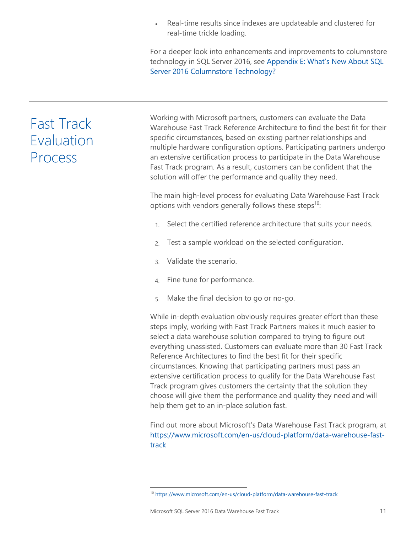Real-time results since indexes are updateable and clustered for real-time trickle loading.

For a deeper look into enhancements and improvements to columnstore technology in SQL Server 2016, see Appen[dix E: What's New About SQL](#page-17-0)  [Server 2016 Columnstore Technology?](#page-17-0)

# <span id="page-12-0"></span>Fast Track Evaluation Process

Working with Microsoft partners, customers can evaluate the Data Warehouse Fast Track Reference Architecture to find the best fit for their specific circumstances, based on existing partner relationships and multiple hardware configuration options. Participating partners undergo an extensive certification process to participate in the Data Warehouse Fast Track program. As a result, customers can be confident that the solution will offer the performance and quality they need.

The main high-level process for evaluating Data Warehouse Fast Track options with vendors generally follows these steps $10$ :

- 1. Select the certified reference architecture that suits your needs.
- 2. Test a sample workload on the selected configuration.
- 3. Validate the scenario.
- 4. Fine tune for performance.
- 5. Make the final decision to go or no-go.

While in-depth evaluation obviously requires greater effort than these steps imply, working with Fast Track Partners makes it much easier to select a data warehouse solution compared to trying to figure out everything unassisted. Customers can evaluate more than 30 Fast Track Reference Architectures to find the best fit for their specific circumstances. Knowing that participating partners must pass an extensive certification process to qualify for the Data Warehouse Fast Track program gives customers the certainty that the solution they choose will give them the performance and quality they need and will help them get to an in-place solution fast.

Find out more about Microsoft's Data Warehouse Fast Track program, at [https://www.microsoft.com/en-us/cloud-platform/data-warehouse-fast](https://www.microsoft.com/en-us/cloud-platform/data-warehouse-fast-track)[track](https://www.microsoft.com/en-us/cloud-platform/data-warehouse-fast-track)

<sup>10</sup> <https://www.microsoft.com/en-us/cloud-platform/data-warehouse-fast-track>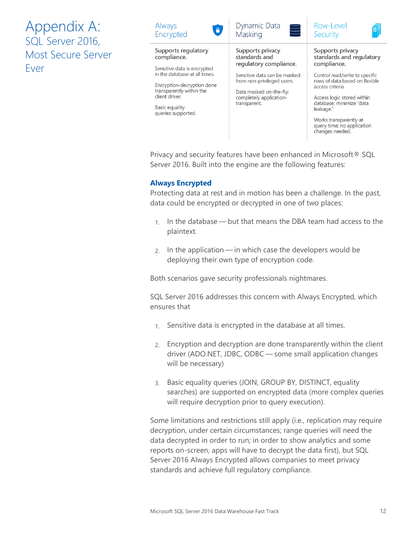<span id="page-13-0"></span>Appendix A: SQL Server 2016, Most Secure Server Ever

| Always                                                                                                                                            | Dynamic Data                                                                                                                     | Row-Level                                                                                                                                                                                                                              |
|---------------------------------------------------------------------------------------------------------------------------------------------------|----------------------------------------------------------------------------------------------------------------------------------|----------------------------------------------------------------------------------------------------------------------------------------------------------------------------------------------------------------------------------------|
| $\bullet$                                                                                                                                         | $\Box$                                                                                                                           | ð                                                                                                                                                                                                                                      |
| Encrypted                                                                                                                                         | Masking                                                                                                                          | Security                                                                                                                                                                                                                               |
| Supports regulatory                                                                                                                               | Supports privacy                                                                                                                 | Supports privacy                                                                                                                                                                                                                       |
| compliance.                                                                                                                                       | standards and                                                                                                                    | standards and regulatory                                                                                                                                                                                                               |
| Sensitive data is encrypted                                                                                                                       | regulatory compliance.                                                                                                           | compliance.                                                                                                                                                                                                                            |
| in the database at all times.<br>Encryption-decryption done<br>transparently within the<br>client driver.<br>Basic equality<br>queries supported. | Sensitive data can be masked<br>from non-privileged users.<br>Data masked on-the-fly;<br>completely application-<br>transparent. | Control read/write to specific<br>rows of data based on flexible<br>access criteria.<br>Access logic stored within<br>database; minimize "data<br>leakage."<br>Works transparently at<br>query time; no application<br>changes needed. |

Privacy and security features have been enhanced in Microsoft® SQL Server 2016. Built into the engine are the following features:

## **Always Encrypted**

Protecting data at rest and in motion has been a challenge. In the past, data could be encrypted or decrypted in one of two places:

- 1. In the database but that means the DBA team had access to the plaintext.
- 2. In the application in which case the developers would be deploying their own type of encryption code.

Both scenarios gave security professionals nightmares.

SQL Server 2016 addresses this concern with Always Encrypted, which ensures that

- 1. Sensitive data is encrypted in the database at all times.
- 2. Encryption and decryption are done transparently within the client driver (ADO.NET, JDBC, ODBC — some small application changes will be necessary)
- 3. Basic equality queries (JOIN, GROUP BY, DISTINCT, equality searches) are supported on encrypted data (more complex queries will require decryption prior to query execution).

Some limitations and restrictions still apply (i.e., replication may require decryption, under certain circumstances; range queries will need the data decrypted in order to run; in order to show analytics and some reports on-screen, apps will have to decrypt the data first), but SQL Server 2016 Always Encrypted allows companies to meet privacy standards and achieve full regulatory compliance.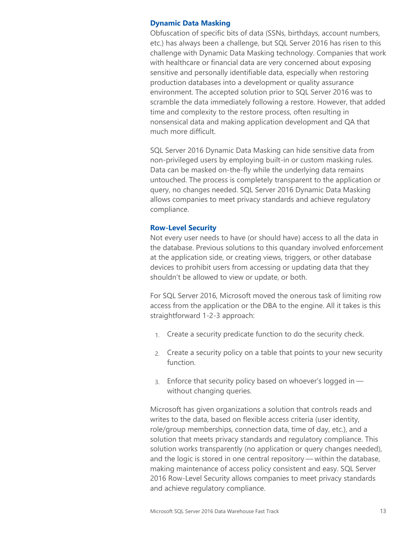## **Dynamic Data Masking**

Obfuscation of specific bits of data (SSNs, birthdays, account numbers, etc.) has always been a challenge, but SQL Server 2016 has risen to this challenge with Dynamic Data Masking technology. Companies that work with healthcare or financial data are very concerned about exposing sensitive and personally identifiable data, especially when restoring production databases into a development or quality assurance environment. The accepted solution prior to SQL Server 2016 was to scramble the data immediately following a restore. However, that added time and complexity to the restore process, often resulting in nonsensical data and making application development and QA that much more difficult.

SQL Server 2016 Dynamic Data Masking can hide sensitive data from non-privileged users by employing built-in or custom masking rules. Data can be masked on-the-fly while the underlying data remains untouched. The process is completely transparent to the application or query, no changes needed. SQL Server 2016 Dynamic Data Masking allows companies to meet privacy standards and achieve regulatory compliance.

## **Row-Level Security**

Not every user needs to have (or should have) access to all the data in the database. Previous solutions to this quandary involved enforcement at the application side, or creating views, triggers, or other database devices to prohibit users from accessing or updating data that they shouldn't be allowed to view or update, or both.

For SQL Server 2016, Microsoft moved the onerous task of limiting row access from the application or the DBA to the engine. All it takes is this straightforward 1-2-3 approach:

- 1. Create a security predicate function to do the security check.
- 2. Create a security policy on a table that points to your new security function.
- 3. Enforce that security policy based on whoever's logged in without changing queries.

Microsoft has given organizations a solution that controls reads and writes to the data, based on flexible access criteria (user identity, role/group memberships, connection data, time of day, etc.), and a solution that meets privacy standards and regulatory compliance. This solution works transparently (no application or query changes needed), and the logic is stored in one central repository — within the database, making maintenance of access policy consistent and easy. SQL Server 2016 Row-Level Security allows companies to meet privacy standards and achieve regulatory compliance.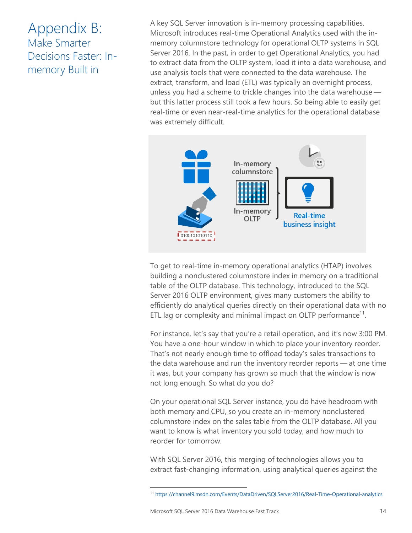## <span id="page-15-0"></span>Appendix B: Make Smarter Decisions Faster: Inmemory Built in

A key SQL Server innovation is in-memory processing capabilities. Microsoft introduces real-time Operational Analytics used with the inmemory columnstore technology for operational OLTP systems in SQL Server 2016. In the past, in order to get Operational Analytics, you had to extract data from the OLTP system, load it into a data warehouse, and use analysis tools that were connected to the data warehouse. The extract, transform, and load (ETL) was typically an overnight process, unless you had a scheme to trickle changes into the data warehouse but this latter process still took a few hours. So being able to easily get real-time or even near-real-time analytics for the operational database was extremely difficult.



To get to real-time in-memory operational analytics (HTAP) involves building a nonclustered columnstore index in memory on a traditional table of the OLTP database. This technology, introduced to the SQL Server 2016 OLTP environment, gives many customers the ability to efficiently do analytical queries directly on their operational data with no ETL lag or complexity and minimal impact on OLTP performance<sup>11</sup>.

For instance, let's say that you're a retail operation, and it's now 3:00 PM. You have a one-hour window in which to place your inventory reorder. That's not nearly enough time to offload today's sales transactions to the data warehouse and run the inventory reorder reports — at one time it was, but your company has grown so much that the window is now not long enough. So what do you do?

On your operational SQL Server instance, you do have headroom with both memory and CPU, so you create an in-memory nonclustered columnstore index on the sales table from the OLTP database. All you want to know is what inventory you sold today, and how much to reorder for tomorrow.

With SQL Server 2016, this merging of technologies allows you to extract fast-changing information, using analytical queries against the

<sup>11</sup> <https://channel9.msdn.com/Events/DataDriven/SQLServer2016/Real-Time-Operational-analytics>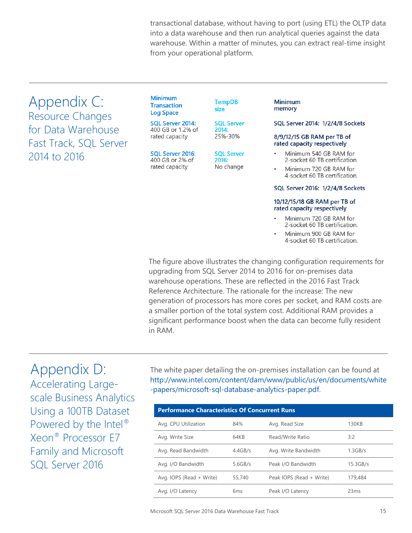transactional database, without having to port (using ETL) the OLTP data into a data warehouse and then run analytical queries against the data warehouse. Within a matter of minutes, you can extract real-time insight from your operational platform.

<span id="page-16-0"></span>Appendix C: Resource Changes for Data Warehouse Fast Track, SQL Server 2014 to 2016

#### **Minimum Transaction Log Space**

SQL Server 2014: 400 GB or 1.2% of rated capacity

### SQL Server 2016: 400 GB or 2% of rated capacity

**TempDB** size

**SQL Server** 2014: 25%-30%

**SQL Server** 2016: No change

### Minimum memory

### SQL Server 2014: 1/2/4/8 Sockets

#### 8/9/12/15 GB RAM per TB of rated capacity respectively

- Minimum 540 GB RAM for 2-socket 60 TB certification.
	- Minimum 720 GB RAM for 4-socket 60 TB certification.

### SQL Server 2016: 1/2/4/8 Sockets

### 10/12/15/18 GB RAM per TB of rated capacity respectively

- Minimum 720 GB RAM for 2-socket 60 TB certification.
- Minimum 900 GB RAM for 4-socket 60 TB certification.

The figure above illustrates the changing configuration requirements for upgrading from SQL Server 2014 to 2016 for on-premises data warehouse operations. These are reflected in the 2016 Fast Track Reference Architecture. The rationale for the increase: The new generation of processors has more cores per socket, and RAM costs are a smaller portion of the total system cost. Additional RAM provides a significant performance boost when the data can become fully resident in RAM.

## <span id="page-16-1"></span>Appendix D: Accelerating Largescale Business Analytics Using a 100TB Dataset Powered by the Intel® Xeon® Processor E7 Family and Microsoft SQL Server 2016

The white paper detailing the on-premises installation can be found at [http://www.intel.com/content/dam/www/public/us/en/documents/white](http://www.intel.com/content/dam/www/public/us/en/documents/white-papers/microsoft-sql-database-analytics-paper.pdf) [-papers/microsoft-sql-database-analytics-paper.pdf.](http://www.intel.com/content/dam/www/public/us/en/documents/white-papers/microsoft-sql-database-analytics-paper.pdf)

| <b>Performance Characteristics Of Concurrent Runs</b> |                 |                          |            |  |  |
|-------------------------------------------------------|-----------------|--------------------------|------------|--|--|
| Avg. CPU Utilization                                  | 84%             | Avg. Read Size           | 130KB      |  |  |
| Avg. Write Size                                       | 64KB            | Read/Write Ratio         | 3:2        |  |  |
| Avg. Read Bandwidth                                   | 4.4GB/s         | Avg. Write Bandwidth     | $1.3$ GB/s |  |  |
| Avg. I/O Bandwidth                                    | 5.6GB/s         | Peak I/O Bandwidth       | 15.3GB/s   |  |  |
| Avg. IOPS (Read + Write)                              | 55,740          | Peak IOPS (Read + Write) | 179,484    |  |  |
| Avg. I/O Latency                                      | 6 <sub>ms</sub> | Peak I/O Latency         | 23ms       |  |  |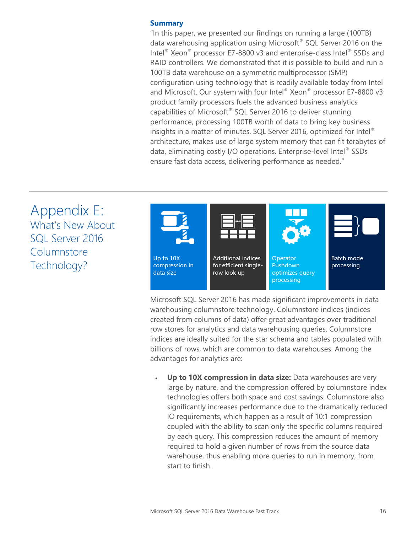## **Summary**

"In this paper, we presented our findings on running a large (100TB) data warehousing application using Microsoft® SQL Server 2016 on the Intel® Xeon® processor E7-8800 v3 and enterprise-class Intel® SSDs and RAID controllers. We demonstrated that it is possible to build and run a 100TB data warehouse on a symmetric multiprocessor (SMP) configuration using technology that is readily available today from Intel and Microsoft. Our system with four Intel® Xeon® processor E7-8800 v3 product family processors fuels the advanced business analytics capabilities of Microsoft® SQL Server 2016 to deliver stunning performance, processing 100TB worth of data to bring key business insights in a matter of minutes. SQL Server 2016, optimized for Intel® architecture, makes use of large system memory that can fit terabytes of data, eliminating costly I/O operations. Enterprise-level Intel® SSDs ensure fast data access, delivering performance as needed."

<span id="page-17-0"></span>Appendix E: What's New About SQL Server 2016 Columnstore Technology?



Microsoft SQL Server 2016 has made significant improvements in data warehousing columnstore technology. Columnstore indices (indices created from columns of data) offer great advantages over traditional row stores for analytics and data warehousing queries. Columnstore indices are ideally suited for the star schema and tables populated with billions of rows, which are common to data warehouses. Among the advantages for analytics are:

 **Up to 10X compression in data size:** Data warehouses are very large by nature, and the compression offered by columnstore index technologies offers both space and cost savings. Columnstore also significantly increases performance due to the dramatically reduced IO requirements, which happen as a result of 10:1 compression coupled with the ability to scan only the specific columns required by each query. This compression reduces the amount of memory required to hold a given number of rows from the source data warehouse, thus enabling more queries to run in memory, from start to finish.